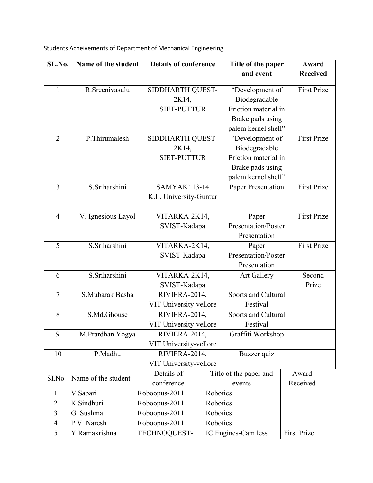| SL.No.         | Name of the student |               | <b>Details of conference</b>                    |          | Title of the paper                                                                                  |  | Award              |
|----------------|---------------------|---------------|-------------------------------------------------|----------|-----------------------------------------------------------------------------------------------------|--|--------------------|
|                |                     |               |                                                 |          | and event                                                                                           |  | <b>Received</b>    |
| $\mathbf{1}$   | R.Sreenivasulu      |               | SIDDHARTH QUEST-<br>2K14,<br><b>SIET-PUTTUR</b> |          | "Development of<br>Biodegradable<br>Friction material in<br>Brake pads using<br>palem kernel shell" |  | <b>First Prize</b> |
| $\overline{2}$ | P. Thirumalesh      |               | SIDDHARTH QUEST-<br>2K14,<br><b>SIET-PUTTUR</b> |          | "Development of<br>Biodegradable<br>Friction material in<br>Brake pads using<br>palem kernel shell" |  | <b>First Prize</b> |
| $\overline{3}$ | S.Sriharshini       |               | <b>SAMYAK' 13-14</b><br>K.L. University-Guntur  |          | Paper Presentation                                                                                  |  | <b>First Prize</b> |
| $\overline{4}$ | V. Ignesious Layol  |               | VITARKA-2K14,<br>SVIST-Kadapa                   |          | Paper<br><b>Presentation/Poster</b><br>Presentation                                                 |  | <b>First Prize</b> |
| 5              | S.Sriharshini       |               | VITARKA-2K14,<br>SVIST-Kadapa                   |          | Paper<br>Presentation/Poster<br>Presentation                                                        |  | <b>First Prize</b> |
| 6              | S.Sriharshini       |               | VITARKA-2K14,<br>SVIST-Kadapa                   |          | <b>Art Gallery</b>                                                                                  |  | Second<br>Prize    |
| $\overline{7}$ | S.Mubarak Basha     |               | RIVIERA-2014,<br>VIT University-vellore         |          | Sports and Cultural<br>Festival                                                                     |  |                    |
| 8              | S.Md.Ghouse         |               | RIVIERA-2014,<br>VIT University-vellore         |          | Sports and Cultural<br>Festival                                                                     |  |                    |
| 9              | M.Prardhan Yogya    |               | RIVIERA-2014,<br>VIT University-vellore         |          | Graffiti Workshop                                                                                   |  |                    |
| 10             | P.Madhu             |               | RIVIERA-2014,<br>VIT University-vellore         |          | Buzzer quiz                                                                                         |  |                    |
| SI.No          | Name of the student |               | Details of<br>conference                        |          | Title of the paper and<br>events                                                                    |  | Award<br>Received  |
| $\mathbf{1}$   | V.Sabari            |               | Roboopus-2011                                   | Robotics |                                                                                                     |  |                    |
| $\overline{2}$ | K.Sindhuri          |               | Roboopus-2011                                   | Robotics |                                                                                                     |  |                    |
| 3              | G. Sushma           | Roboopus-2011 |                                                 | Robotics |                                                                                                     |  |                    |
| $\overline{4}$ | P.V. Naresh         | Roboopus-2011 |                                                 | Robotics |                                                                                                     |  |                    |
| 5              | Y.Ramakrishna       |               | TECHNOQUEST-                                    |          | IC Engines-Cam less                                                                                 |  | <b>First Prize</b> |

Students Acheivements of Department of Mechanical Engineering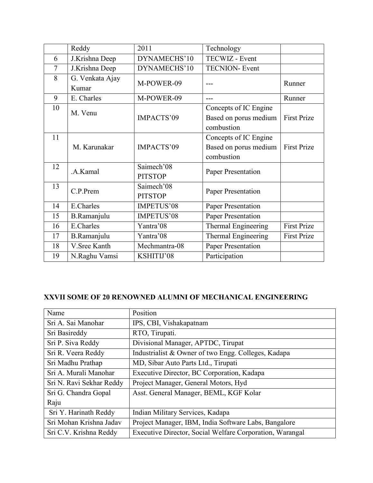|                | Reddy                    | 2011                         | Technology                                                   |                    |
|----------------|--------------------------|------------------------------|--------------------------------------------------------------|--------------------|
| 6              | J.Krishna Deep           | DYNAMECHS'10                 | TECWIZ - Event                                               |                    |
| $\overline{7}$ | J.Krishna Deep           | DYNAMECHS'10                 | <b>TECNION- Event</b>                                        |                    |
| 8              | G. Venkata Ajay<br>Kumar | M-POWER-09                   |                                                              | Runner             |
| 9              | E. Charles               | M-POWER-09                   | ---                                                          | Runner             |
| 10             | M. Venu                  | IMPACTS'09                   | Concepts of IC Engine<br>Based on porus medium<br>combustion | <b>First Prize</b> |
| 11             | M. Karunakar             | IMPACTS'09                   | Concepts of IC Engine<br>Based on porus medium<br>combustion | <b>First Prize</b> |
| 12             | .A.Kamal                 | Saimech'08<br><b>PITSTOP</b> | <b>Paper Presentation</b>                                    |                    |
| 13             | C.P.Prem                 | Saimech'08<br><b>PITSTOP</b> | <b>Paper Presentation</b>                                    |                    |
| 14             | E.Charles                | IMPETUS'08                   | Paper Presentation                                           |                    |
| 15             | B.Ramanjulu              | IMPETUS'08                   | Paper Presentation                                           |                    |
| 16             | E.Charles                | Yantra'08                    | Thermal Engineering                                          | <b>First Prize</b> |
| 17             | B.Ramanjulu              | Yantra'08                    | Thermal Engineering                                          | <b>First Prize</b> |
| 18             | V.Sree Kanth             | Mechmantra-08                | Paper Presentation                                           |                    |
| 19             | N.Raghu Vamsi            | KSHITIJ'08                   | Participation                                                |                    |

## **XXVII SOME OF 20 RENOWNED ALUMNI OF MECHANICAL ENGINEERING**

| Name                     | Position                                                 |  |  |  |
|--------------------------|----------------------------------------------------------|--|--|--|
| Sri A. Sai Manohar       | IPS, CBI, Vishakapatnam                                  |  |  |  |
| Sri Basireddy            | RTO, Tirupati.                                           |  |  |  |
| Sri P. Siva Reddy        | Divisional Manager, APTDC, Tirupat                       |  |  |  |
| Sri R. Veera Reddy       | Industrialist & Owner of two Engg. Colleges, Kadapa      |  |  |  |
| Sri Madhu Prathap        | MD, Sibar Auto Parts Ltd., Tirupati                      |  |  |  |
| Sri A. Murali Manohar    | Executive Director, BC Corporation, Kadapa               |  |  |  |
| Sri N. Ravi Sekhar Reddy | Project Manager, General Motors, Hyd                     |  |  |  |
| Sri G. Chandra Gopal     | Asst. General Manager, BEML, KGF Kolar                   |  |  |  |
| Raju                     |                                                          |  |  |  |
| Sri Y. Harinath Reddy    | Indian Military Services, Kadapa                         |  |  |  |
| Sri Mohan Krishna Jadav  | Project Manager, IBM, India Software Labs, Bangalore     |  |  |  |
| Sri C.V. Krishna Reddy   | Executive Director, Social Welfare Corporation, Warangal |  |  |  |